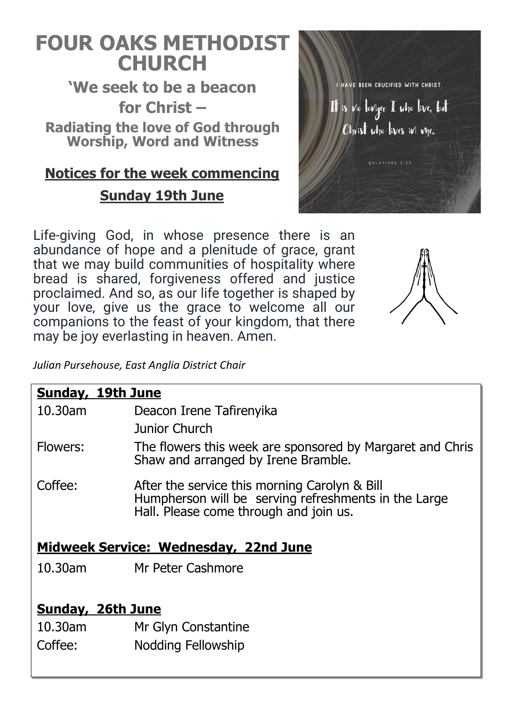# **FOUR OAKS METHODIST CHURCH**

**'We seek to be a beacon for Christ – Radiating the love of God through Worship, Word and Witness**

# **Notices for the week commencing Sunday 19th June**

Life-giving God, in whose presence there is an abundance of hope and a plenitude of grace, grant that we may build communities of hospitality where bread is shared, forgiveness offered and justice proclaimed. And so, as our life together is shaped by your love, give us the grace to welcome all our companions to the feast of your kingdom, that there may be joy everlasting in heaven. Amen.



I HAVE BEEN CRUCIFIED WITH CHRIST.

It is vio loviger I who live, but

Christ who lives in me.

GALATIANS 2:20

*Julian Pursehouse, East Anglia District Chair*

| <b>Sunday, 19th June</b>                     |                                                                                                                                                 |  |  |
|----------------------------------------------|-------------------------------------------------------------------------------------------------------------------------------------------------|--|--|
| 10.30am                                      | Deacon Irene Tafirenyika                                                                                                                        |  |  |
|                                              | <b>Junior Church</b>                                                                                                                            |  |  |
| Flowers:                                     | The flowers this week are sponsored by Margaret and Chris<br>Shaw and arranged by Irene Bramble.                                                |  |  |
| Coffee:                                      | After the service this morning Carolyn & Bill<br>Humpherson will be serving refreshments in the Large<br>Hall. Please come through and join us. |  |  |
| <b>Midweek Service: Wednesday, 22nd June</b> |                                                                                                                                                 |  |  |
| $10.30$ am                                   | Mr Peter Cashmore                                                                                                                               |  |  |
|                                              |                                                                                                                                                 |  |  |
| <b>Sunday, 26th June</b>                     |                                                                                                                                                 |  |  |
| 10.30am                                      | Mr Glyn Constantine                                                                                                                             |  |  |
| Coffee:                                      | <b>Nodding Fellowship</b>                                                                                                                       |  |  |
|                                              |                                                                                                                                                 |  |  |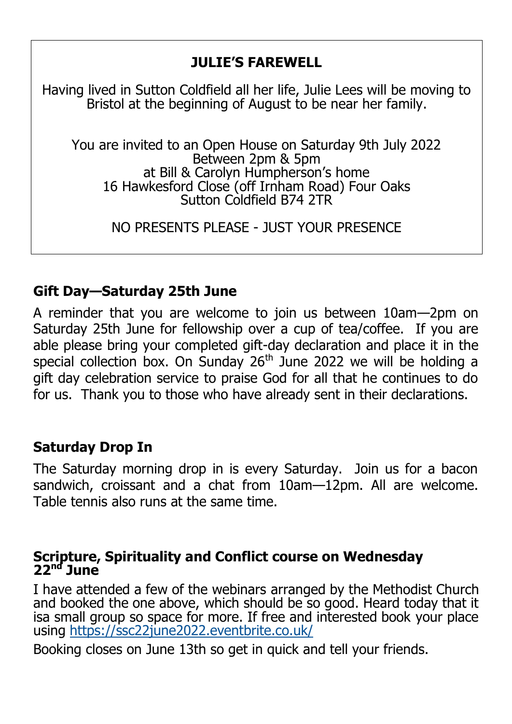## **JULIE'S FAREWELL**

Having lived in Sutton Coldfield all her life, Julie Lees will be moving to Bristol at the beginning of August to be near her family.

You are invited to an Open House on Saturday 9th July 2022 Between 2pm & 5pm at Bill & Carolyn Humpherson's home 16 Hawkesford Close (off Irnham Road) Four Oaks Sutton Coldfield B74 2TR

NO PRESENTS PLEASE - JUST YOUR PRESENCE

### **Gift Day—Saturday 25th June**

A reminder that you are welcome to join us between 10am—2pm on Saturday 25th June for fellowship over a cup of tea/coffee. If you are able please bring your completed gift-day declaration and place it in the special collection box. On Sunday  $26<sup>th</sup>$  June 2022 we will be holding a gift day celebration service to praise God for all that he continues to do for us. Thank you to those who have already sent in their declarations.

### **Saturday Drop In**

The Saturday morning drop in is every Saturday. Join us for a bacon sandwich, croissant and a chat from 10am—12pm. All are welcome. Table tennis also runs at the same time.

### **Scripture, Spirituality and Conflict course on Wednesday 22nd June**

I have attended a few of the webinars arranged by the Methodist Church and booked the one above, which should be so good. Heard today that it isa small group so space for more. If free and interested book your place using <https://ssc22june2022.eventbrite.co.uk/>

Booking closes on June 13th so get in quick and tell your friends.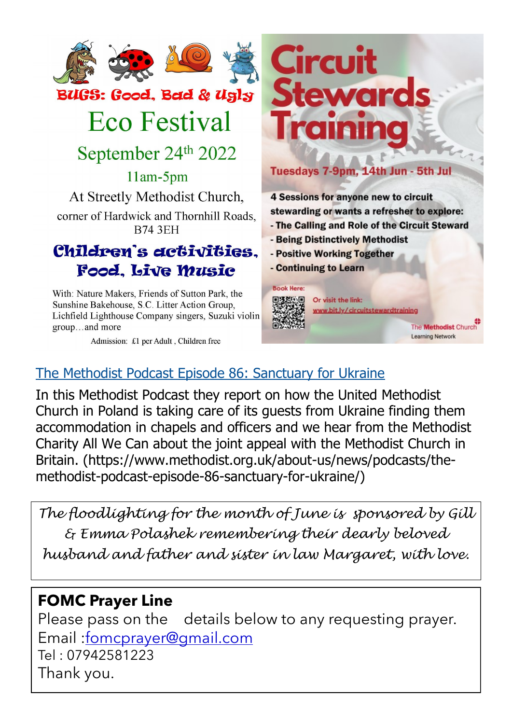

# **Eco Festival**

September 24th 2022

 $11am-5pm$ At Streetly Methodist Church, corner of Hardwick and Thornhill Roads. **B74 3EH** 

## Children's activities. Food, Live Music

With: Nature Makers, Friends of Sutton Park, the Sunshine Bakehouse, S.C. Litter Action Group, Lichfield Lighthouse Company singers. Suzuki violin group...and more

Admission: £1 per Adult, Children free



#### Tuesdays 7-9pm, 14th Jun - 5th Jul

4 Sessions for anyone new to circuit stewarding or wants a refresher to explore:

- The Calling and Role of the Circuit Steward
- Being Distinctively Methodist
- Positive Working Together
- Continuing to Learn



The **Methodist** Church Learning Network

## [The Methodist Podcast Episode 86: Sanctuary for Ukraine](https://www.methodist.org.uk/about-us/news/podcasts/the-methodist-podcast-episode-86-sanctuary-for-ukraine/)

In this Methodist Podcast they report on how the United Methodist Church in Poland is taking care of its guests from Ukraine finding them accommodation in chapels and officers and we hear from the Methodist Charity All We Can about the joint appeal with the Methodist Church in Britain. (https://www.methodist.org.uk/about-us/news/podcasts/themethodist-podcast-episode-86-sanctuary-for-ukraine/)

*The floodlighting for the month of June is sponsored by Gill & Emma Polashek remembering their dearly beloved husband and father and sister in law Margaret, with love.* 

## **FOMC Prayer Line**

Please pass on the details below to any requesting prayer. Email [:fomcprayer@gmail.com](mailto:fomcprayer@gmail.com) Tel : 07942581223 Thank you.